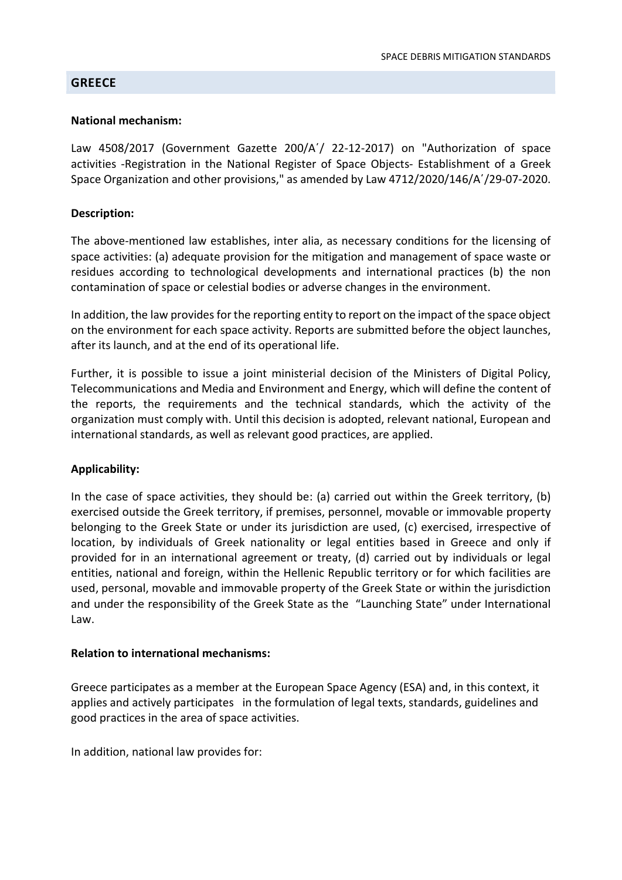### **GREECE**

### National mechanism:

Law 4508/2017 (Government Gazette 200/A'/ 22-12-2017) on "Authorization of space activities -Registration in the National Register of Space Objects- Establishment of a Greek Space Organization and other provisions," as amended by Law 4712/2020/146/A΄/29-07-2020.

## Description:

The above-mentioned law establishes, inter alia, as necessary conditions for the licensing of space activities: (a) adequate provision for the mitigation and management of space waste or residues according to technological developments and international practices (b) the non contamination of space or celestial bodies or adverse changes in the environment.

In addition, the law provides for the reporting entity to report on the impact of the space object on the environment for each space activity. Reports are submitted before the object launches, after its launch, and at the end of its operational life.

Further, it is possible to issue a joint ministerial decision of the Ministers of Digital Policy, Telecommunications and Media and Environment and Energy, which will define the content of the reports, the requirements and the technical standards, which the activity of the organization must comply with. Until this decision is adopted, relevant national, European and international standards, as well as relevant good practices, are applied.

# Applicability:

In the case of space activities, they should be: (a) carried out within the Greek territory, (b) exercised outside the Greek territory, if premises, personnel, movable or immovable property belonging to the Greek State or under its jurisdiction are used, (c) exercised, irrespective of location, by individuals of Greek nationality or legal entities based in Greece and only if provided for in an international agreement or treaty, (d) carried out by individuals or legal entities, national and foreign, within the Hellenic Republic territory or for which facilities are used, personal, movable and immovable property of the Greek State or within the jurisdiction and under the responsibility of the Greek State as the "Launching State" under International Law.

#### Relation to international mechanisms:

Greece participates as a member at the European Space Agency (ESA) and, in this context, it applies and actively participates in the formulation of legal texts, standards, guidelines and good practices in the area of space activities.

In addition, national law provides for: